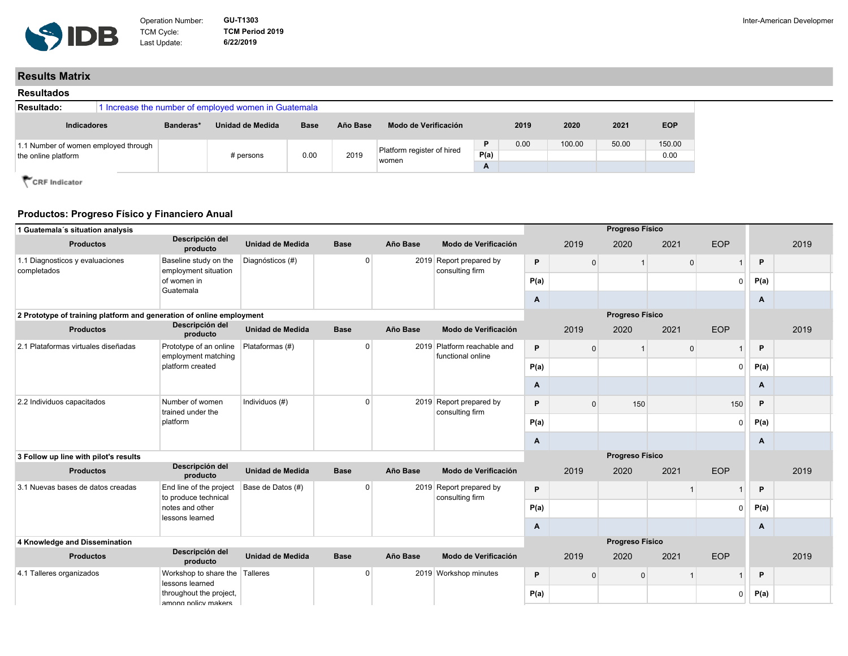

## **Results Matrix**

| <b>Resultados</b>                                           |                                                      |           |                  |             |          |                                     |                |      |        |       |                |
|-------------------------------------------------------------|------------------------------------------------------|-----------|------------------|-------------|----------|-------------------------------------|----------------|------|--------|-------|----------------|
| Resultado:                                                  | 1 Increase the number of employed women in Guatemala |           |                  |             |          |                                     |                |      |        |       |                |
| Indicadores                                                 |                                                      | Banderas* | Unidad de Medida | <b>Base</b> | Año Base | Modo de Verificación                |                | 2019 | 2020   | 2021  | <b>EOP</b>     |
| 1.1 Number of women employed through<br>the online platform |                                                      |           | # persons        | 0.00        | 2019     | Platform register of hired<br>women | D<br>P(a)<br>A | 0.00 | 100.00 | 50.00 | 150.00<br>0.00 |

CRF Indicator

## **Productos: Progreso Físico y Financiero Anual**

| 1 Guatemala's situation analysis                                     |                                                   |                         |                |          |                                                  |      |                | Progreso Físico |                |            |      |      |
|----------------------------------------------------------------------|---------------------------------------------------|-------------------------|----------------|----------|--------------------------------------------------|------|----------------|-----------------|----------------|------------|------|------|
| <b>Productos</b>                                                     | Descripción del<br>producto                       | <b>Unidad de Medida</b> | <b>Base</b>    | Año Base | Modo de Verificación                             |      | 2019           | 2020            | 2021           | <b>EOP</b> |      | 2019 |
| 1.1 Diagnosticos y evaluaciones                                      | Baseline study on the                             | Diagnósticos (#)        | $\Omega$       |          | 2019 Report prepared by                          | P    | $\overline{0}$ |                 | $\overline{0}$ |            | P    |      |
| completados                                                          | employment situation<br>of women in<br>Guatemala  |                         |                |          | consulting firm                                  | P(a) |                |                 |                | U          | P(a) |      |
|                                                                      |                                                   |                         |                |          |                                                  | Α    |                |                 |                |            | Α    |      |
| 2 Prototype of training platform and generation of online employment |                                                   |                         |                |          |                                                  |      |                | Progreso Físico |                |            |      |      |
| <b>Productos</b>                                                     | Descripción del<br>producto                       | Unidad de Medida        | <b>Base</b>    | Año Base | Modo de Verificación                             |      | 2019           | 2020            | 2021           | <b>EOP</b> |      | 2019 |
| 2.1 Plataformas virtuales diseñadas<br>platform created              | Prototype of an online<br>employment matching     | Plataformas (#)         | $\overline{0}$ |          | 2019 Platform reachable and<br>functional online | P    | $\overline{0}$ |                 | $\overline{0}$ |            | P    |      |
|                                                                      |                                                   |                         |                |          |                                                  | P(a) |                |                 |                | $\Omega$   | P(a) |      |
|                                                                      |                                                   |                         |                |          | Α                                                |      |                |                 |                | Α          |      |      |
| 2.2 Individuos capacitados                                           | Number of women<br>trained under the              | Individuos (#)          | $\Omega$       |          | 2019 Report prepared by<br>consulting firm       | P    | $\overline{0}$ | 150             |                | 150        | P.   |      |
|                                                                      | platform                                          |                         |                |          |                                                  | P(a) |                |                 |                | $\Omega$   | P(a) |      |
|                                                                      |                                                   |                         |                |          |                                                  | Α    |                |                 |                |            | A    |      |
| 3 Follow up line with pilot's results                                |                                                   |                         |                |          |                                                  |      |                | Progreso Físico |                |            |      |      |
| <b>Productos</b>                                                     | Descripción del<br>producto                       | <b>Unidad de Medida</b> | <b>Base</b>    | Año Base | Modo de Verificación                             |      | 2019           | 2020            | 2021           | <b>EOP</b> |      | 2019 |
| 3.1 Nuevas bases de datos creadas                                    | End line of the project<br>to produce technical   | Base de Datos (#)       | $\overline{0}$ |          | 2019 Report prepared by<br>consulting firm       | P    |                |                 |                |            | P    |      |
|                                                                      | notes and other                                   |                         |                |          |                                                  | P(a) |                |                 |                | $\Omega$   | P(a) |      |
|                                                                      | lessons learned                                   |                         |                |          |                                                  | Α    |                |                 |                |            | A    |      |
| 4 Knowledge and Dissemination                                        |                                                   |                         |                |          |                                                  |      |                | Progreso Físico |                |            |      |      |
| <b>Productos</b>                                                     | Descripción del<br>producto                       | <b>Unidad de Medida</b> | <b>Base</b>    | Año Base | Modo de Verificación                             |      | 2019           | 2020            | 2021           | <b>EOP</b> |      | 2019 |
| 4.1 Talleres organizados                                             | Workshop to share the Talleres<br>lessons learned |                         | $\Omega$       |          | 2019 Workshop minutes                            | P    | $\overline{0}$ | $\mathbf{0}$    |                |            | P    |      |
| throughout the project,<br>among policy makers                       |                                                   |                         |                | P(a)     |                                                  |      |                | $\overline{0}$  | P(a)           |            |      |      |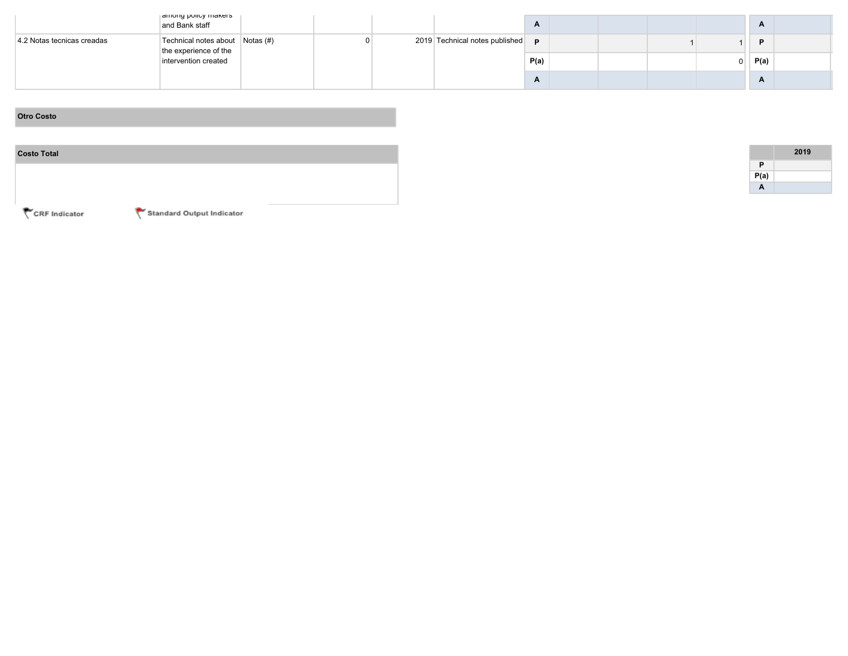|                            | among policy makers<br>and Bank staff                    |  |  |                                         | $\mathbf{A}$ |  |    | A    |  |
|----------------------------|----------------------------------------------------------|--|--|-----------------------------------------|--------------|--|----|------|--|
| 4.2 Notas tecnicas creadas | Technical notes about Notas (#)<br>the experience of the |  |  | 2019 Technical notes published <b>p</b> |              |  |    | D    |  |
|                            | intervention created                                     |  |  |                                         | P(a)         |  | 0. | P(a) |  |
|                            |                                                          |  |  |                                         | $\mathbf{r}$ |  |    | A    |  |

## **Otro Costo**

| <b>Costo Total</b> |
|--------------------|
|                    |
|                    |
|                    |

|      | 2019 |
|------|------|
| P    |      |
| P(a) |      |
| A    |      |

CRF Indicator

Standard Output Indicator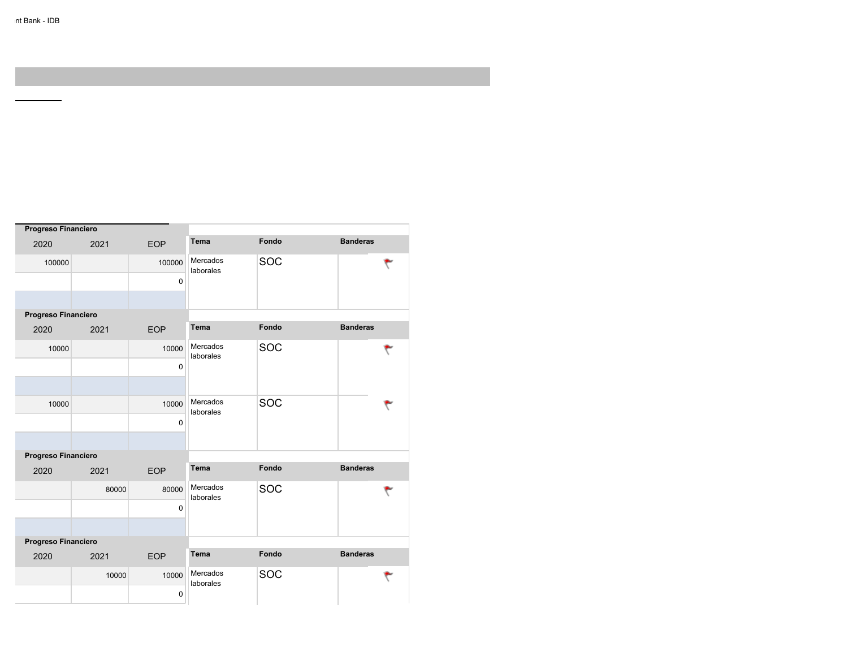÷,

| Progreso Financiero |       |            |                       |            |                 |  |
|---------------------|-------|------------|-----------------------|------------|-----------------|--|
| 2020                | 2021  | <b>EOP</b> | <b>Tema</b>           | Fondo      | <b>Banderas</b> |  |
| 100000              |       | 100000     | Mercados<br>laborales | SOC        | ٣               |  |
|                     |       | 0          |                       |            |                 |  |
|                     |       |            |                       |            |                 |  |
| Progreso Financiero |       |            |                       |            |                 |  |
| 2020                | 2021  | <b>EOP</b> | <b>Tema</b>           | Fondo      | <b>Banderas</b> |  |
| 10000               |       | 10000      | Mercados<br>laborales | SOC        |                 |  |
|                     |       | 0          |                       |            |                 |  |
|                     |       |            |                       |            |                 |  |
| 10000               |       | 10000      | Mercados<br>laborales | <b>SOC</b> |                 |  |
|                     |       | 0          |                       |            |                 |  |
|                     |       |            |                       |            |                 |  |
| Progreso Financiero |       |            |                       |            |                 |  |
| 2020                | 2021  | <b>EOP</b> | Tema                  | Fondo      | <b>Banderas</b> |  |
|                     | 80000 | 80000      | Mercados<br>laborales | <b>SOC</b> |                 |  |
|                     |       | 0          |                       |            |                 |  |
|                     |       |            |                       |            |                 |  |
| Progreso Financiero |       |            |                       |            |                 |  |
| 2020                | 2021  | <b>EOP</b> | <b>Tema</b>           | Fondo      | <b>Banderas</b> |  |
|                     | 10000 | 10000      | Mercados<br>laborales | <b>SOC</b> |                 |  |
|                     |       | 0          |                       |            |                 |  |